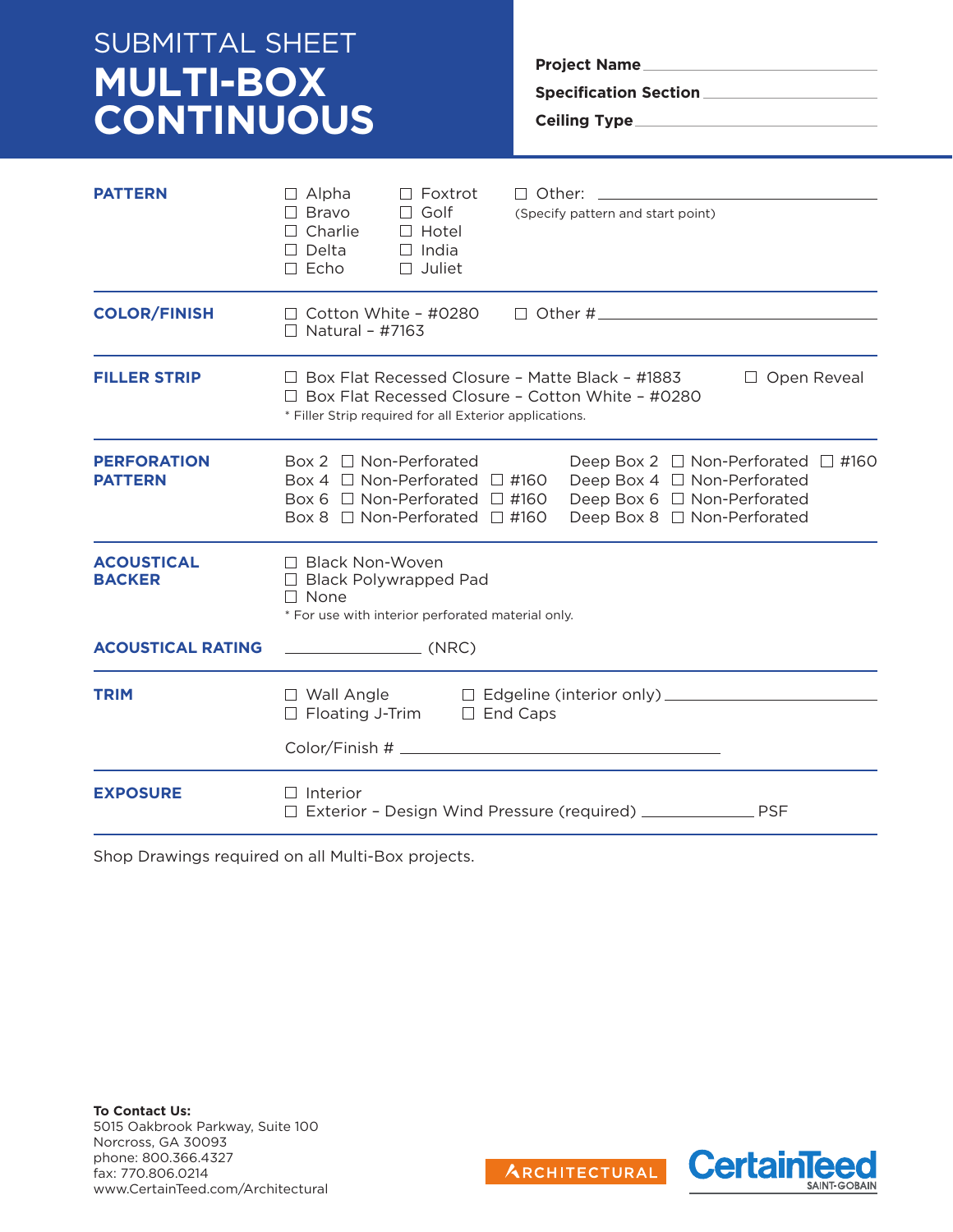# SUBMITTAL SHEET **MULTI-BOX CONTINUOUS**

**Project Name Specification Section Ceiling Type**

| <b>PATTERN</b>                       | $\Box$ Alpha<br>$\Box$ Foxtrot<br>$\Box$ Bravo<br>$\Box$ Golf<br>$\Box$ Charlie<br>$\Box$ Hotel<br>$\Box$ Delta<br>$\Box$ India<br>$\Box$ Echo<br>$\Box$ Juliet                                   | $\Box$ Other: $\_\_$<br>(Specify pattern and start point)                                                                                 |  |
|--------------------------------------|---------------------------------------------------------------------------------------------------------------------------------------------------------------------------------------------------|-------------------------------------------------------------------------------------------------------------------------------------------|--|
| <b>COLOR/FINISH</b>                  | $\Box$ Cotton White - #0280<br>$\Box$ Natural - #7163                                                                                                                                             | $\Box$ Other # $\Box$                                                                                                                     |  |
| <b>FILLER STRIP</b>                  | $\Box$ Box Flat Recessed Closure - Matte Black - #1883<br>$\Box$ Open Reveal<br>$\Box$ Box Elat Recessed Closure - Cotton White - #0280<br>* Filler Strip required for all Exterior applications. |                                                                                                                                           |  |
| <b>PERFORATION</b><br><b>PATTERN</b> | Box 2 $\Box$ Non-Perforated<br>Box 4 $\Box$ Non-Perforated $\Box$ #160<br>Box 6 $\Box$ Non-Perforated $\Box$ #160<br>Box 8 $\Box$ Non-Perforated $\Box$ #160                                      | Deep Box 2 $\Box$ Non-Perforated $\Box$ #160<br>Deep Box 4 □ Non-Perforated<br>Deep Box 6 □ Non-Perforated<br>Deep Box 8 □ Non-Perforated |  |
| <b>ACOUSTICAL</b><br><b>BACKER</b>   | □ Black Non-Woven<br>$\Box$ Black Polywrapped Pad<br>$\Box$ None<br>* For use with interior perforated material only.                                                                             |                                                                                                                                           |  |
| <b>ACOUSTICAL RATING</b>             | $\begin{array}{ccc}\n&\quad\text{(NRC)}\n\end{array}$                                                                                                                                             |                                                                                                                                           |  |
| <b>TRIM</b>                          | $\Box$ Wall Angle<br>$\Box$ Floating J-Trim $\Box$ End Caps                                                                                                                                       |                                                                                                                                           |  |
| <b>EXPOSURE</b>                      | $\Box$ Interior                                                                                                                                                                                   | Exterior - Design Wind Pressure (required) ________________ PSF                                                                           |  |

Shop Drawings required on all Multi-Box projects.